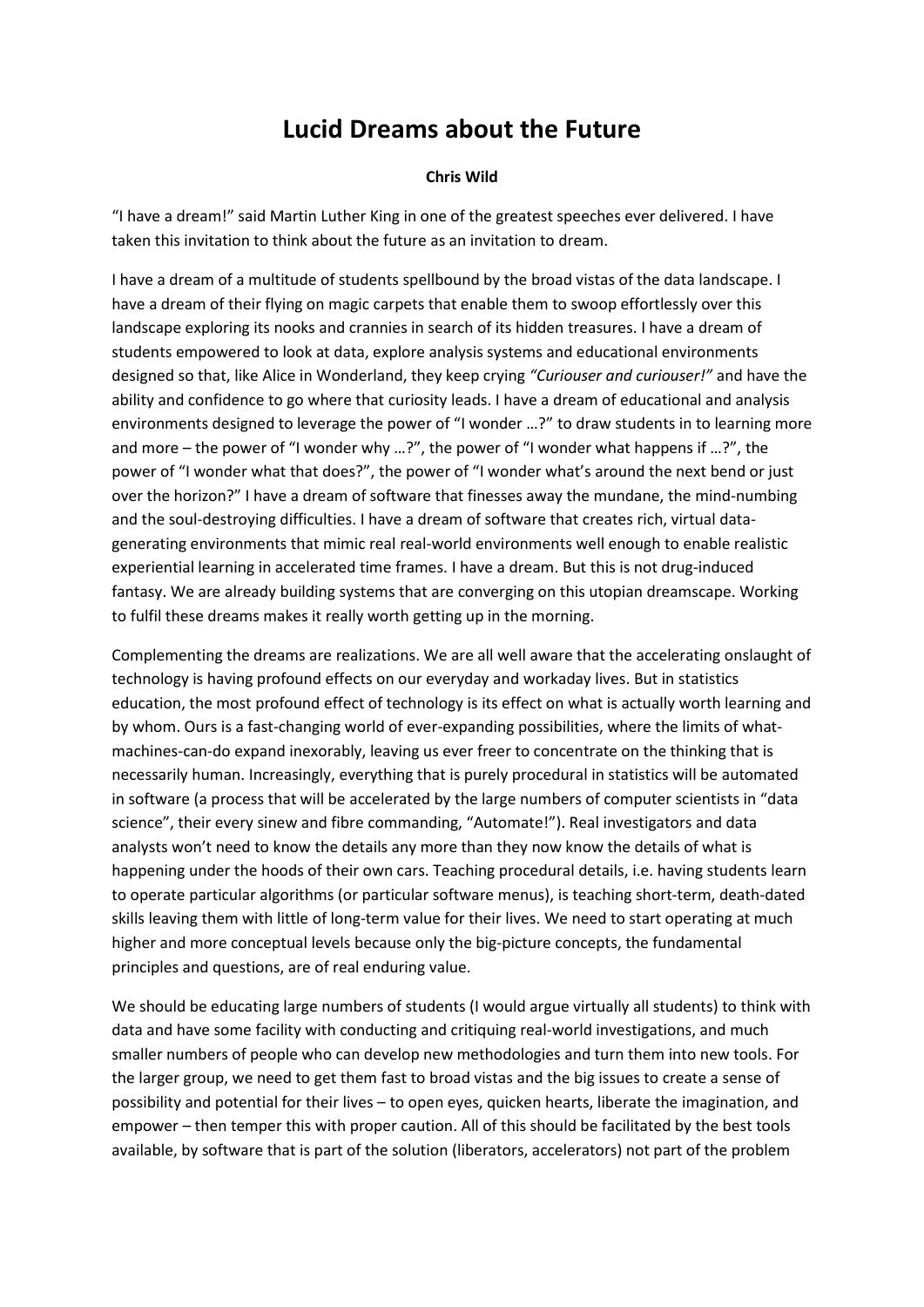## **Lucid Dreams about the Future**

## **Chris Wild**

"I have a dream!" said Martin Luther King in one of the greatest speeches ever delivered. I have taken this invitation to think about the future as an invitation to dream.

I have a dream of a multitude of students spellbound by the broad vistas of the data landscape. I have a dream of their flying on magic carpets that enable them to swoop effortlessly over this landscape exploring its nooks and crannies in search of its hidden treasures. I have a dream of students empowered to look at data, explore analysis systems and educational environments designed so that, like Alice in Wonderland, they keep crying *"Curiouser and curiouser!"* and have the ability and confidence to go where that curiosity leads. I have a dream of educational and analysis environments designed to leverage the power of "I wonder …?" to draw students in to learning more and more – the power of "I wonder why …?", the power of "I wonder what happens if …?", the power of "I wonder what that does?", the power of "I wonder what's around the next bend or just over the horizon?" I have a dream of software that finesses away the mundane, the mind-numbing and the soul-destroying difficulties. I have a dream of software that creates rich, virtual datagenerating environments that mimic real real-world environments well enough to enable realistic experiential learning in accelerated time frames. I have a dream. But this is not drug-induced fantasy. We are already building systems that are converging on this utopian dreamscape. Working to fulfil these dreams makes it really worth getting up in the morning.

Complementing the dreams are realizations. We are all well aware that the accelerating onslaught of technology is having profound effects on our everyday and workaday lives. But in statistics education, the most profound effect of technology is its effect on what is actually worth learning and by whom. Ours is a fast-changing world of ever-expanding possibilities, where the limits of whatmachines-can-do expand inexorably, leaving us ever freer to concentrate on the thinking that is necessarily human. Increasingly, everything that is purely procedural in statistics will be automated in software (a process that will be accelerated by the large numbers of computer scientists in "data science", their every sinew and fibre commanding, "Automate!"). Real investigators and data analysts won't need to know the details any more than they now know the details of what is happening under the hoods of their own cars. Teaching procedural details, i.e. having students learn to operate particular algorithms (or particular software menus), is teaching short-term, death-dated skills leaving them with little of long-term value for their lives. We need to start operating at much higher and more conceptual levels because only the big-picture concepts, the fundamental principles and questions, are of real enduring value.

We should be educating large numbers of students (I would argue virtually all students) to think with data and have some facility with conducting and critiquing real-world investigations, and much smaller numbers of people who can develop new methodologies and turn them into new tools. For the larger group, we need to get them fast to broad vistas and the big issues to create a sense of possibility and potential for their lives – to open eyes, quicken hearts, liberate the imagination, and empower – then temper this with proper caution. All of this should be facilitated by the best tools available, by software that is part of the solution (liberators, accelerators) not part of the problem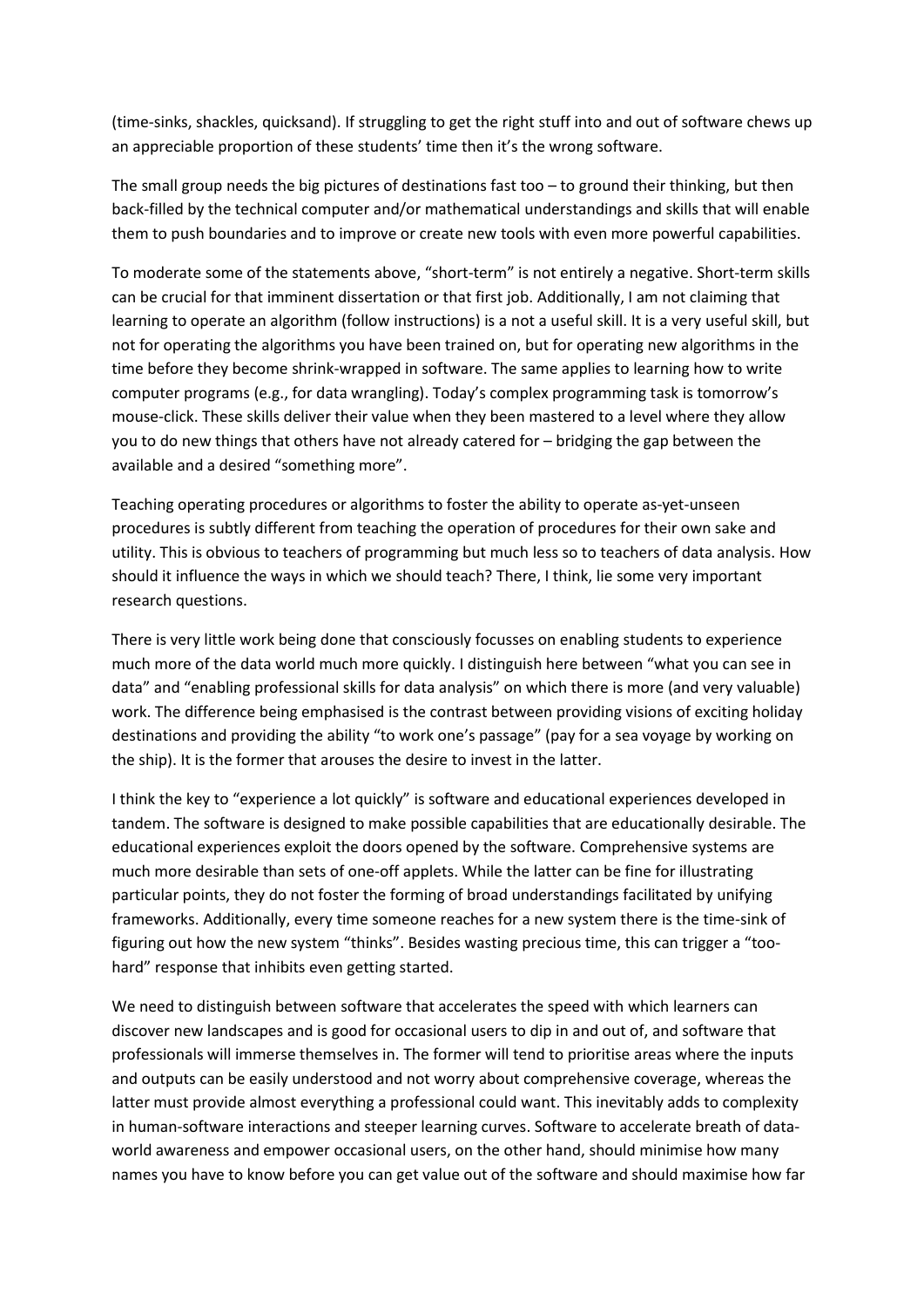(time-sinks, shackles, quicksand). If struggling to get the right stuff into and out of software chews up an appreciable proportion of these students' time then it's the wrong software.

The small group needs the big pictures of destinations fast too  $-$  to ground their thinking, but then back-filled by the technical computer and/or mathematical understandings and skills that will enable them to push boundaries and to improve or create new tools with even more powerful capabilities.

To moderate some of the statements above, "short-term" is not entirely a negative. Short-term skills can be crucial for that imminent dissertation or that first job. Additionally, I am not claiming that learning to operate an algorithm (follow instructions) is a not a useful skill. It is a very useful skill, but not for operating the algorithms you have been trained on, but for operating new algorithms in the time before they become shrink-wrapped in software. The same applies to learning how to write computer programs (e.g., for data wrangling). Today's complex programming task is tomorrow's mouse-click. These skills deliver their value when they been mastered to a level where they allow you to do new things that others have not already catered for – bridging the gap between the available and a desired "something more".

Teaching operating procedures or algorithms to foster the ability to operate as-yet-unseen procedures is subtly different from teaching the operation of procedures for their own sake and utility. This is obvious to teachers of programming but much less so to teachers of data analysis. How should it influence the ways in which we should teach? There, I think, lie some very important research questions.

There is very little work being done that consciously focusses on enabling students to experience much more of the data world much more quickly. I distinguish here between "what you can see in data" and "enabling professional skills for data analysis" on which there is more (and very valuable) work. The difference being emphasised is the contrast between providing visions of exciting holiday destinations and providing the ability "to work one's passage" (pay for a sea voyage by working on the ship). It is the former that arouses the desire to invest in the latter.

I think the key to "experience a lot quickly" is software and educational experiences developed in tandem. The software is designed to make possible capabilities that are educationally desirable. The educational experiences exploit the doors opened by the software. Comprehensive systems are much more desirable than sets of one-off applets. While the latter can be fine for illustrating particular points, they do not foster the forming of broad understandings facilitated by unifying frameworks. Additionally, every time someone reaches for a new system there is the time-sink of figuring out how the new system "thinks". Besides wasting precious time, this can trigger a "toohard" response that inhibits even getting started.

We need to distinguish between software that accelerates the speed with which learners can discover new landscapes and is good for occasional users to dip in and out of, and software that professionals will immerse themselves in. The former will tend to prioritise areas where the inputs and outputs can be easily understood and not worry about comprehensive coverage, whereas the latter must provide almost everything a professional could want. This inevitably adds to complexity in human-software interactions and steeper learning curves. Software to accelerate breath of dataworld awareness and empower occasional users, on the other hand, should minimise how many names you have to know before you can get value out of the software and should maximise how far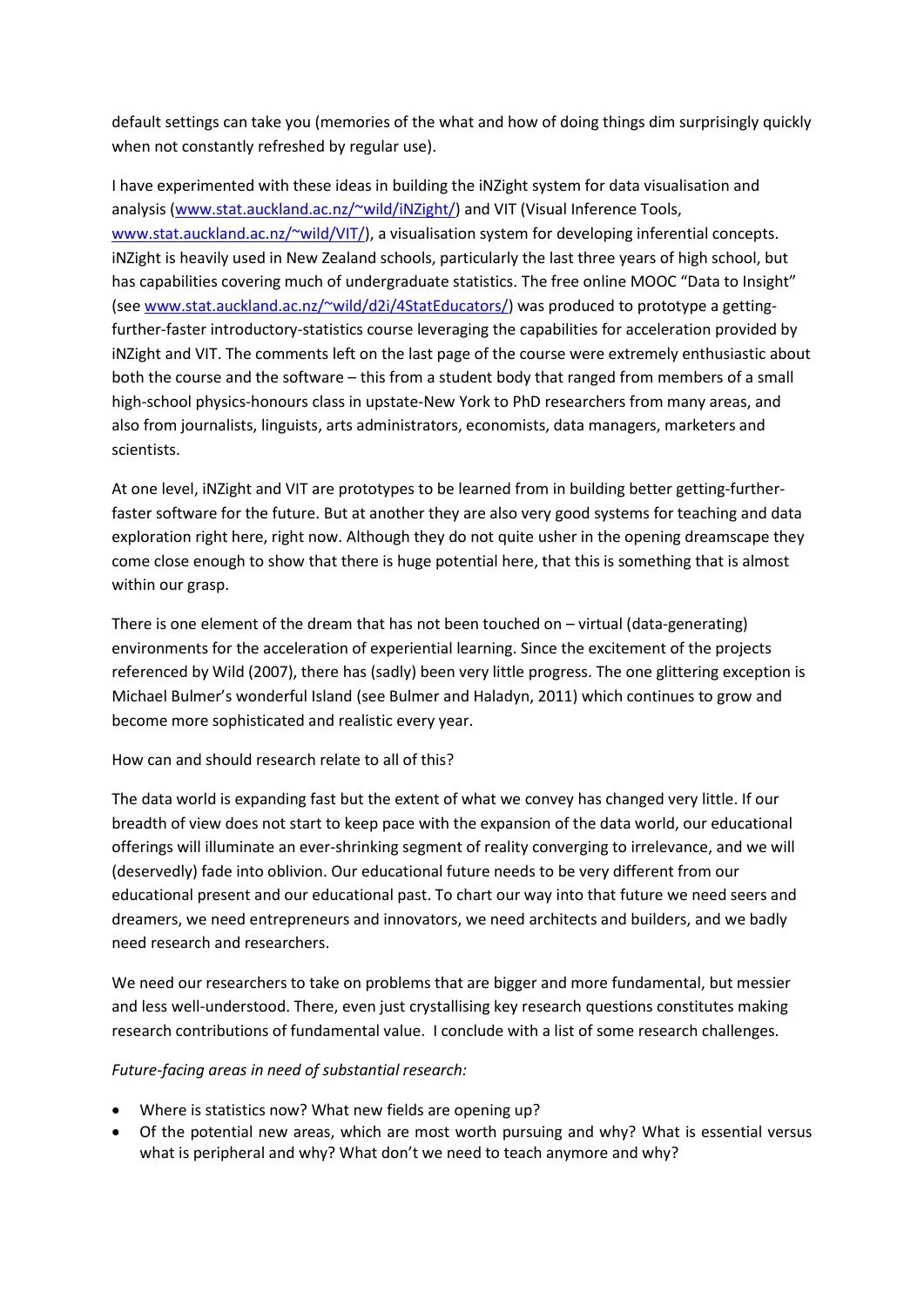default settings can take you (memories of the what and how of doing things dim surprisingly quickly when not constantly refreshed by regular use).

I have experimented with these ideas in building the iNZight system for data visualisation and analysis [\(www.stat.auckland.ac.nz/~wild/iNZight/\)](http://www.stat.auckland.ac.nz/~wild/iNZight/) and VIT (Visual Inference Tools, [www.stat.auckland.ac.nz/~wild/VIT/\)](http://www.stat.auckland.ac.nz/~wild/VIT/), a visualisation system for developing inferential concepts. iNZight is heavily used in New Zealand schools, particularly the last three years of high school, but has capabilities covering much of undergraduate statistics. The free online MOOC "Data to Insight" (see [www.stat.auckland.ac.nz/~wild/d2i/4StatEducators/\)](http://www.stat.auckland.ac.nz/~wild/d2i/4StatEducators/) was produced to prototype a gettingfurther-faster introductory-statistics course leveraging the capabilities for acceleration provided by iNZight and VIT. The comments left on the last page of the course were extremely enthusiastic about both the course and the software – this from a student body that ranged from members of a small high-school physics-honours class in upstate-New York to PhD researchers from many areas, and also from journalists, linguists, arts administrators, economists, data managers, marketers and scientists.

At one level, iNZight and VIT are prototypes to be learned from in building better getting-furtherfaster software for the future. But at another they are also very good systems for teaching and data exploration right here, right now. Although they do not quite usher in the opening dreamscape they come close enough to show that there is huge potential here, that this is something that is almost within our grasp.

There is one element of the dream that has not been touched on – virtual (data-generating) environments for the acceleration of experiential learning. Since the excitement of the projects referenced by Wild (2007), there has (sadly) been very little progress. The one glittering exception is Michael Bulmer's wonderful Island (see Bulmer and Haladyn, 2011) which continues to grow and become more sophisticated and realistic every year.

How can and should research relate to all of this?

The data world is expanding fast but the extent of what we convey has changed very little. If our breadth of view does not start to keep pace with the expansion of the data world, our educational offerings will illuminate an ever-shrinking segment of reality converging to irrelevance, and we will (deservedly) fade into oblivion. Our educational future needs to be very different from our educational present and our educational past. To chart our way into that future we need seers and dreamers, we need entrepreneurs and innovators, we need architects and builders, and we badly need research and researchers.

We need our researchers to take on problems that are bigger and more fundamental, but messier and less well-understood. There, even just crystallising key research questions constitutes making research contributions of fundamental value. I conclude with a list of some research challenges.

## *Future-facing areas in need of substantial research:*

- Where is statistics now? What new fields are opening up?
- Of the potential new areas, which are most worth pursuing and why? What is essential versus what is peripheral and why? What don't we need to teach anymore and why?